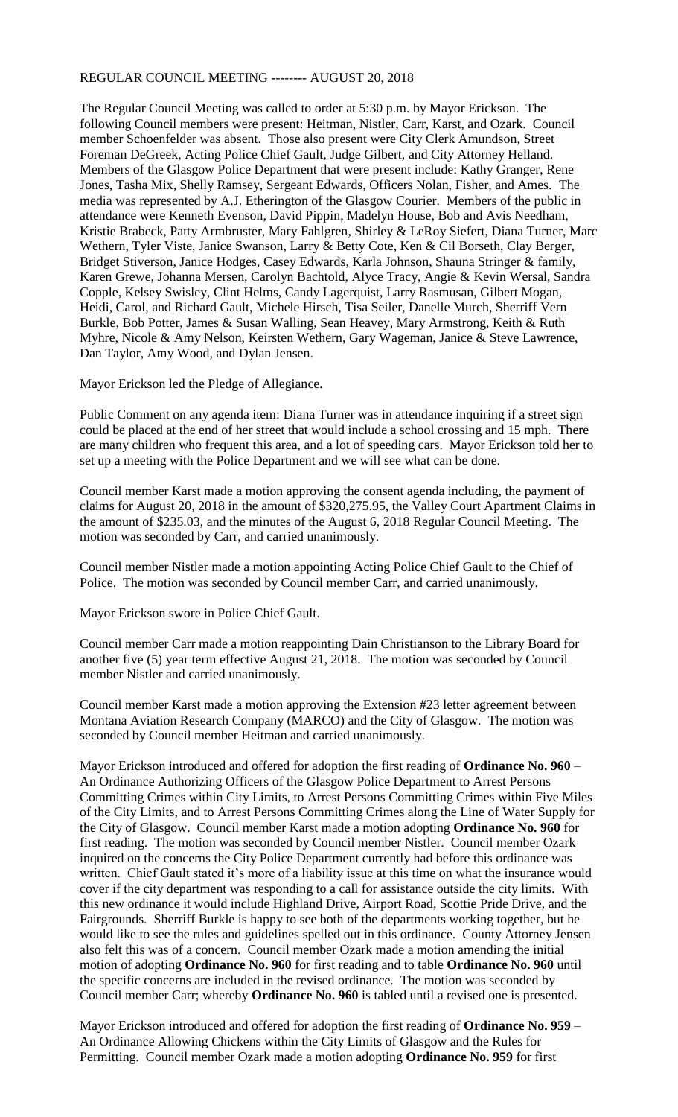## REGULAR COUNCIL MEETING -------- AUGUST 20, 2018

The Regular Council Meeting was called to order at 5:30 p.m. by Mayor Erickson. The following Council members were present: Heitman, Nistler, Carr, Karst, and Ozark. Council member Schoenfelder was absent. Those also present were City Clerk Amundson, Street Foreman DeGreek, Acting Police Chief Gault, Judge Gilbert, and City Attorney Helland. Members of the Glasgow Police Department that were present include: Kathy Granger, Rene Jones, Tasha Mix, Shelly Ramsey, Sergeant Edwards, Officers Nolan, Fisher, and Ames. The media was represented by A.J. Etherington of the Glasgow Courier. Members of the public in attendance were Kenneth Evenson, David Pippin, Madelyn House, Bob and Avis Needham, Kristie Brabeck, Patty Armbruster, Mary Fahlgren, Shirley & LeRoy Siefert, Diana Turner, Marc Wethern, Tyler Viste, Janice Swanson, Larry & Betty Cote, Ken & Cil Borseth, Clay Berger, Bridget Stiverson, Janice Hodges, Casey Edwards, Karla Johnson, Shauna Stringer & family, Karen Grewe, Johanna Mersen, Carolyn Bachtold, Alyce Tracy, Angie & Kevin Wersal, Sandra Copple, Kelsey Swisley, Clint Helms, Candy Lagerquist, Larry Rasmusan, Gilbert Mogan, Heidi, Carol, and Richard Gault, Michele Hirsch, Tisa Seiler, Danelle Murch, Sherriff Vern Burkle, Bob Potter, James & Susan Walling, Sean Heavey, Mary Armstrong, Keith & Ruth Myhre, Nicole & Amy Nelson, Keirsten Wethern, Gary Wageman, Janice & Steve Lawrence, Dan Taylor, Amy Wood, and Dylan Jensen.

Mayor Erickson led the Pledge of Allegiance.

Public Comment on any agenda item: Diana Turner was in attendance inquiring if a street sign could be placed at the end of her street that would include a school crossing and 15 mph. There are many children who frequent this area, and a lot of speeding cars. Mayor Erickson told her to set up a meeting with the Police Department and we will see what can be done.

Council member Karst made a motion approving the consent agenda including, the payment of claims for August 20, 2018 in the amount of \$320,275.95, the Valley Court Apartment Claims in the amount of \$235.03, and the minutes of the August 6, 2018 Regular Council Meeting. The motion was seconded by Carr, and carried unanimously.

Council member Nistler made a motion appointing Acting Police Chief Gault to the Chief of Police. The motion was seconded by Council member Carr, and carried unanimously.

Mayor Erickson swore in Police Chief Gault.

Council member Carr made a motion reappointing Dain Christianson to the Library Board for another five (5) year term effective August 21, 2018. The motion was seconded by Council member Nistler and carried unanimously.

Council member Karst made a motion approving the Extension #23 letter agreement between Montana Aviation Research Company (MARCO) and the City of Glasgow. The motion was seconded by Council member Heitman and carried unanimously.

Mayor Erickson introduced and offered for adoption the first reading of **Ordinance No. 960** – An Ordinance Authorizing Officers of the Glasgow Police Department to Arrest Persons Committing Crimes within City Limits, to Arrest Persons Committing Crimes within Five Miles of the City Limits, and to Arrest Persons Committing Crimes along the Line of Water Supply for the City of Glasgow. Council member Karst made a motion adopting **Ordinance No. 960** for first reading. The motion was seconded by Council member Nistler. Council member Ozark inquired on the concerns the City Police Department currently had before this ordinance was written. Chief Gault stated it's more of a liability issue at this time on what the insurance would cover if the city department was responding to a call for assistance outside the city limits. With this new ordinance it would include Highland Drive, Airport Road, Scottie Pride Drive, and the Fairgrounds. Sherriff Burkle is happy to see both of the departments working together, but he would like to see the rules and guidelines spelled out in this ordinance. County Attorney Jensen also felt this was of a concern. Council member Ozark made a motion amending the initial motion of adopting **Ordinance No. 960** for first reading and to table **Ordinance No. 960** until the specific concerns are included in the revised ordinance. The motion was seconded by Council member Carr; whereby **Ordinance No. 960** is tabled until a revised one is presented.

Mayor Erickson introduced and offered for adoption the first reading of **Ordinance No. 959** – An Ordinance Allowing Chickens within the City Limits of Glasgow and the Rules for Permitting. Council member Ozark made a motion adopting **Ordinance No. 959** for first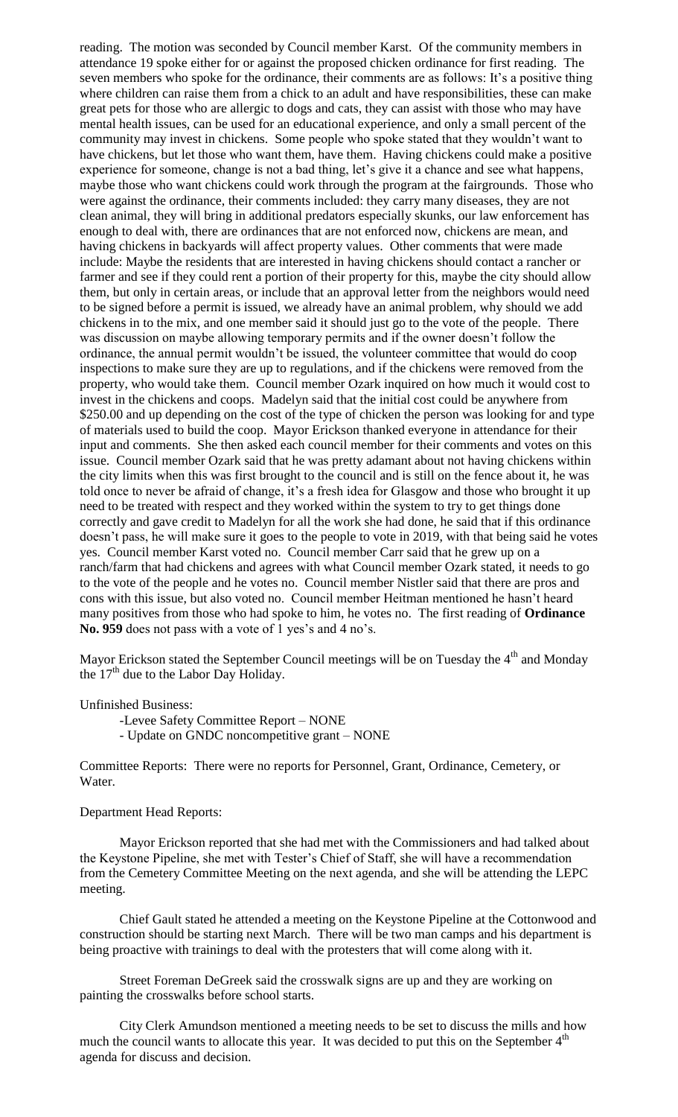reading. The motion was seconded by Council member Karst. Of the community members in attendance 19 spoke either for or against the proposed chicken ordinance for first reading. The seven members who spoke for the ordinance, their comments are as follows: It's a positive thing where children can raise them from a chick to an adult and have responsibilities, these can make great pets for those who are allergic to dogs and cats, they can assist with those who may have mental health issues, can be used for an educational experience, and only a small percent of the community may invest in chickens. Some people who spoke stated that they wouldn't want to have chickens, but let those who want them, have them. Having chickens could make a positive experience for someone, change is not a bad thing, let's give it a chance and see what happens, maybe those who want chickens could work through the program at the fairgrounds. Those who were against the ordinance, their comments included: they carry many diseases, they are not clean animal, they will bring in additional predators especially skunks, our law enforcement has enough to deal with, there are ordinances that are not enforced now, chickens are mean, and having chickens in backyards will affect property values. Other comments that were made include: Maybe the residents that are interested in having chickens should contact a rancher or farmer and see if they could rent a portion of their property for this, maybe the city should allow them, but only in certain areas, or include that an approval letter from the neighbors would need to be signed before a permit is issued, we already have an animal problem, why should we add chickens in to the mix, and one member said it should just go to the vote of the people. There was discussion on maybe allowing temporary permits and if the owner doesn't follow the ordinance, the annual permit wouldn't be issued, the volunteer committee that would do coop inspections to make sure they are up to regulations, and if the chickens were removed from the property, who would take them. Council member Ozark inquired on how much it would cost to invest in the chickens and coops. Madelyn said that the initial cost could be anywhere from \$250.00 and up depending on the cost of the type of chicken the person was looking for and type of materials used to build the coop. Mayor Erickson thanked everyone in attendance for their input and comments. She then asked each council member for their comments and votes on this issue. Council member Ozark said that he was pretty adamant about not having chickens within the city limits when this was first brought to the council and is still on the fence about it, he was told once to never be afraid of change, it's a fresh idea for Glasgow and those who brought it up need to be treated with respect and they worked within the system to try to get things done correctly and gave credit to Madelyn for all the work she had done, he said that if this ordinance doesn't pass, he will make sure it goes to the people to vote in 2019, with that being said he votes yes. Council member Karst voted no. Council member Carr said that he grew up on a ranch/farm that had chickens and agrees with what Council member Ozark stated, it needs to go to the vote of the people and he votes no. Council member Nistler said that there are pros and cons with this issue, but also voted no. Council member Heitman mentioned he hasn't heard many positives from those who had spoke to him, he votes no. The first reading of **Ordinance No. 959** does not pass with a vote of 1 yes's and 4 no's.

Mayor Erickson stated the September Council meetings will be on Tuesday the 4<sup>th</sup> and Monday the  $17<sup>th</sup>$  due to the Labor Day Holiday.

Unfinished Business:

-Levee Safety Committee Report – NONE

- Update on GNDC noncompetitive grant – NONE

Committee Reports: There were no reports for Personnel, Grant, Ordinance, Cemetery, or Water.

## Department Head Reports:

Mayor Erickson reported that she had met with the Commissioners and had talked about the Keystone Pipeline, she met with Tester's Chief of Staff, she will have a recommendation from the Cemetery Committee Meeting on the next agenda, and she will be attending the LEPC meeting.

Chief Gault stated he attended a meeting on the Keystone Pipeline at the Cottonwood and construction should be starting next March. There will be two man camps and his department is being proactive with trainings to deal with the protesters that will come along with it.

Street Foreman DeGreek said the crosswalk signs are up and they are working on painting the crosswalks before school starts.

City Clerk Amundson mentioned a meeting needs to be set to discuss the mills and how much the council wants to allocate this year. It was decided to put this on the September  $4<sup>th</sup>$ agenda for discuss and decision.